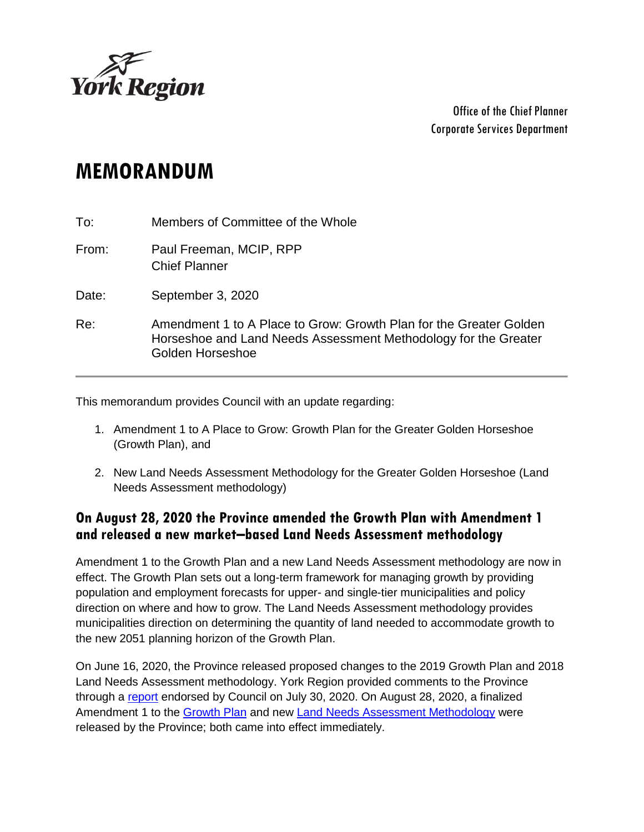

Office of the Chief Planner Corporate Services Department

# **MEMORANDUM**

| To:   | Members of Committee of the Whole                                                                                                                         |
|-------|-----------------------------------------------------------------------------------------------------------------------------------------------------------|
| From: | Paul Freeman, MCIP, RPP<br><b>Chief Planner</b>                                                                                                           |
| Date: | September 3, 2020                                                                                                                                         |
| Re:   | Amendment 1 to A Place to Grow: Growth Plan for the Greater Golden<br>Horseshoe and Land Needs Assessment Methodology for the Greater<br>Golden Horseshoe |

This memorandum provides Council with an update regarding:

- 1. Amendment 1 to A Place to Grow: Growth Plan for the Greater Golden Horseshoe (Growth Plan), and
- 2. New Land Needs Assessment Methodology for the Greater Golden Horseshoe (Land Needs Assessment methodology)

### **On August 28, 2020 the Province amended the Growth Plan with Amendment 1 and released a new market–based Land Needs Assessment methodology**

Amendment 1 to the Growth Plan and a new Land Needs Assessment methodology are now in effect. The Growth Plan sets out a long-term framework for managing growth by providing population and employment forecasts for upper- and single-tier municipalities and policy direction on where and how to grow. The Land Needs Assessment methodology provides municipalities direction on determining the quantity of land needed to accommodate growth to the new 2051 planning horizon of the Growth Plan.

On June 16, 2020, the Province released proposed changes to the 2019 Growth Plan and 2018 Land Needs Assessment methodology. York Region provided comments to the Province through a [report](https://yorkpublishing.escribemeetings.com/filestream.ashx?DocumentId=14246) endorsed by Council on July 30, 2020. On August 28, 2020, a finalized Amendment 1 to the [Growth Plan](https://files.ontario.ca/mmah-place-to-grow-office-consolidation-en-2020-08-28.pdf) and new [Land Needs Assessment Methodology](https://files.ontario.ca/mmah-land-needs-assessment-methodology-en-2020-08-27.pdf) were released by the Province; both came into effect immediately.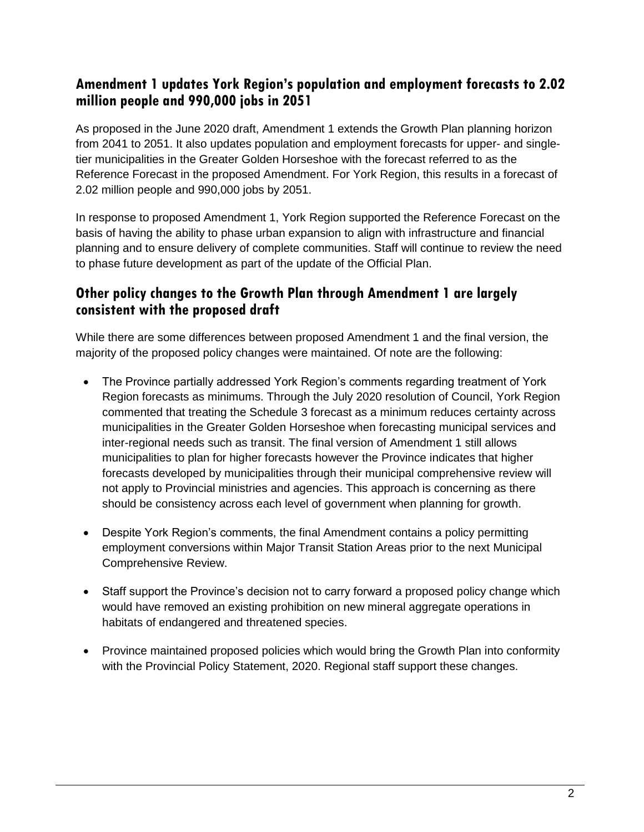### **Amendment 1 updates York Region's population and employment forecasts to 2.02 million people and 990,000 jobs in 2051**

As proposed in the June 2020 draft, Amendment 1 extends the Growth Plan planning horizon from 2041 to 2051. It also updates population and employment forecasts for upper- and singletier municipalities in the Greater Golden Horseshoe with the forecast referred to as the Reference Forecast in the proposed Amendment. For York Region, this results in a forecast of 2.02 million people and 990,000 jobs by 2051.

In response to proposed Amendment 1, York Region supported the Reference Forecast on the basis of having the ability to phase urban expansion to align with infrastructure and financial planning and to ensure delivery of complete communities. Staff will continue to review the need to phase future development as part of the update of the Official Plan.

## **Other policy changes to the Growth Plan through Amendment 1 are largely consistent with the proposed draft**

While there are some differences between proposed Amendment 1 and the final version, the majority of the proposed policy changes were maintained. Of note are the following:

- The Province partially addressed York Region's comments regarding treatment of York Region forecasts as minimums. Through the July 2020 resolution of Council, York Region commented that treating the Schedule 3 forecast as a minimum reduces certainty across municipalities in the Greater Golden Horseshoe when forecasting municipal services and inter-regional needs such as transit. The final version of Amendment 1 still allows municipalities to plan for higher forecasts however the Province indicates that higher forecasts developed by municipalities through their municipal comprehensive review will not apply to Provincial ministries and agencies. This approach is concerning as there should be consistency across each level of government when planning for growth.
- Despite York Region's comments, the final Amendment contains a policy permitting employment conversions within Major Transit Station Areas prior to the next Municipal Comprehensive Review.
- Staff support the Province's decision not to carry forward a proposed policy change which would have removed an existing prohibition on new mineral aggregate operations in habitats of endangered and threatened species.
- Province maintained proposed policies which would bring the Growth Plan into conformity with the Provincial Policy Statement, 2020. Regional staff support these changes.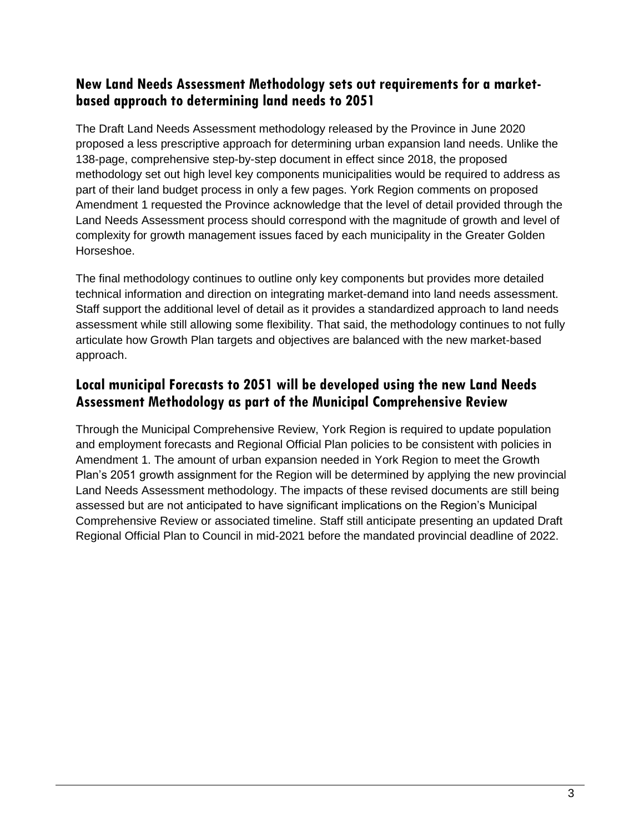#### **New Land Needs Assessment Methodology sets out requirements for a marketbased approach to determining land needs to 2051**

The Draft Land Needs Assessment methodology released by the Province in June 2020 proposed a less prescriptive approach for determining urban expansion land needs. Unlike the 138-page, comprehensive step-by-step document in effect since 2018, the proposed methodology set out high level key components municipalities would be required to address as part of their land budget process in only a few pages. York Region comments on proposed Amendment 1 requested the Province acknowledge that the level of detail provided through the Land Needs Assessment process should correspond with the magnitude of growth and level of complexity for growth management issues faced by each municipality in the Greater Golden Horseshoe.

The final methodology continues to outline only key components but provides more detailed technical information and direction on integrating market-demand into land needs assessment. Staff support the additional level of detail as it provides a standardized approach to land needs assessment while still allowing some flexibility. That said, the methodology continues to not fully articulate how Growth Plan targets and objectives are balanced with the new market-based approach.

## **Local municipal Forecasts to 2051 will be developed using the new Land Needs Assessment Methodology as part of the Municipal Comprehensive Review**

Through the Municipal Comprehensive Review, York Region is required to update population and employment forecasts and Regional Official Plan policies to be consistent with policies in Amendment 1. The amount of urban expansion needed in York Region to meet the Growth Plan's 2051 growth assignment for the Region will be determined by applying the new provincial Land Needs Assessment methodology. The impacts of these revised documents are still being assessed but are not anticipated to have significant implications on the Region's Municipal Comprehensive Review or associated timeline. Staff still anticipate presenting an updated Draft Regional Official Plan to Council in mid-2021 before the mandated provincial deadline of 2022.